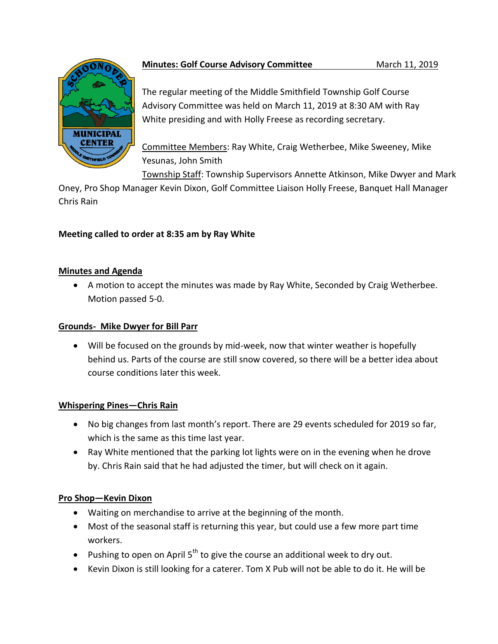

# **Minutes: Golf Course Advisory Committee March 11, 2019**

The regular meeting of the Middle Smithfield Township Golf Course Advisory Committee was held on March 11, 2019 at 8:30 AM with Ray White presiding and with Holly Freese as recording secretary.

Committee Members: Ray White, Craig Wetherbee, Mike Sweeney, Mike Yesunas, John Smith

Township Staff: Township Supervisors Annette Atkinson, Mike Dwyer and Mark

Oney, Pro Shop Manager Kevin Dixon, Golf Committee Liaison Holly Freese, Banquet Hall Manager Chris Rain

# **Meeting called to order at 8:35 am by Ray White**

### **Minutes and Agenda**

 A motion to accept the minutes was made by Ray White, Seconded by Craig Wetherbee. Motion passed 5-0.

### **Grounds- Mike Dwyer for Bill Parr**

 Will be focused on the grounds by mid-week, now that winter weather is hopefully behind us. Parts of the course are still snow covered, so there will be a better idea about course conditions later this week.

# **Whispering Pines—Chris Rain**

- No big changes from last month's report. There are 29 events scheduled for 2019 so far, which is the same as this time last year.
- Ray White mentioned that the parking lot lights were on in the evening when he drove by. Chris Rain said that he had adjusted the timer, but will check on it again.

# **Pro Shop—Kevin Dixon**

- Waiting on merchandise to arrive at the beginning of the month.
- Most of the seasonal staff is returning this year, but could use a few more part time workers.
- Pushing to open on April  $5<sup>th</sup>$  to give the course an additional week to dry out.
- Kevin Dixon is still looking for a caterer. Tom X Pub will not be able to do it. He will be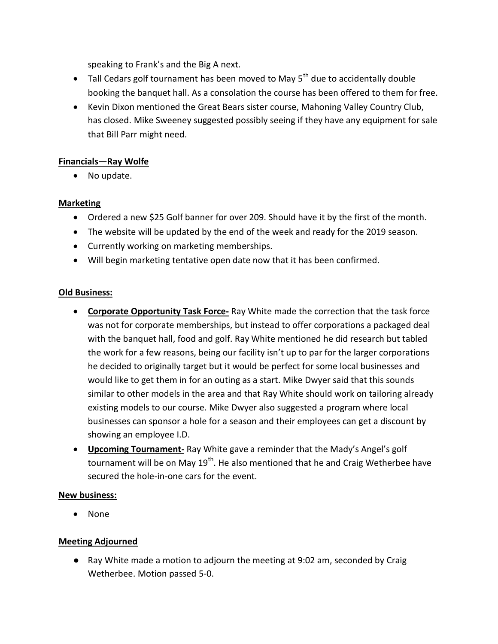speaking to Frank's and the Big A next.

- $\bullet$  Tall Cedars golf tournament has been moved to May 5<sup>th</sup> due to accidentally double booking the banquet hall. As a consolation the course has been offered to them for free.
- Kevin Dixon mentioned the Great Bears sister course, Mahoning Valley Country Club, has closed. Mike Sweeney suggested possibly seeing if they have any equipment for sale that Bill Parr might need.

### **Financials—Ray Wolfe**

• No update.

### **Marketing**

- Ordered a new \$25 Golf banner for over 209. Should have it by the first of the month.
- The website will be updated by the end of the week and ready for the 2019 season.
- Currently working on marketing memberships.
- Will begin marketing tentative open date now that it has been confirmed.

### **Old Business:**

- **Corporate Opportunity Task Force-** Ray White made the correction that the task force was not for corporate memberships, but instead to offer corporations a packaged deal with the banquet hall, food and golf. Ray White mentioned he did research but tabled the work for a few reasons, being our facility isn't up to par for the larger corporations he decided to originally target but it would be perfect for some local businesses and would like to get them in for an outing as a start. Mike Dwyer said that this sounds similar to other models in the area and that Ray White should work on tailoring already existing models to our course. Mike Dwyer also suggested a program where local businesses can sponsor a hole for a season and their employees can get a discount by showing an employee I.D.
- **Upcoming Tournament-** Ray White gave a reminder that the Mady's Angel's golf tournament will be on May  $19<sup>th</sup>$ . He also mentioned that he and Craig Wetherbee have secured the hole-in-one cars for the event.

#### **New business:**

• None

### **Meeting Adjourned**

● Ray White made a motion to adjourn the meeting at 9:02 am, seconded by Craig Wetherbee. Motion passed 5-0.